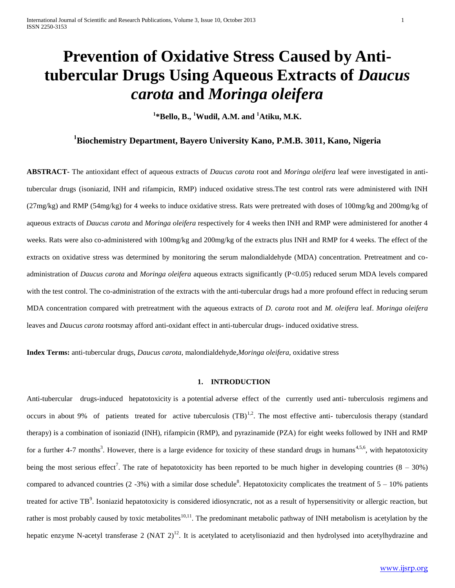# **Prevention of Oxidative Stress Caused by Antitubercular Drugs Using Aqueous Extracts of** *Daucus carota* **and** *Moringa oleifera*

**1 \*Bello, B., <sup>1</sup>Wudil, A.M. and <sup>1</sup>Atiku, M.K.**

# **<sup>1</sup>Biochemistry Department, Bayero University Kano, P.M.B. 3011, Kano, Nigeria**

**ABSTRACT-** The antioxidant effect of aqueous extracts of *Daucus carota* root and *Moringa oleifera* leaf were investigated in antitubercular drugs (isoniazid, INH and rifampicin, RMP) induced oxidative stress.The test control rats were administered with INH  $(27mg/kg)$  and RMP (54mg/kg) for 4 weeks to induce oxidative stress. Rats were pretreated with doses of 100mg/kg and 200mg/kg of aqueous extracts of *Daucus carota* and *Moringa oleifera* respectively for 4 weeks then INH and RMP were administered for another 4 weeks. Rats were also co-administered with 100mg/kg and 200mg/kg of the extracts plus INH and RMP for 4 weeks. The effect of the extracts on oxidative stress was determined by monitoring the serum malondialdehyde (MDA) concentration. Pretreatment and coadministration of *Daucus carota* and *Moringa oleifera* aqueous extracts significantly (P<0.05) reduced serum MDA levels compared with the test control. The co-administration of the extracts with the anti-tubercular drugs had a more profound effect in reducing serum MDA concentration compared with pretreatment with the aqueous extracts of *D. carota* root and *M. oleifera* leaf. *Moringa oleifera* leaves and *Daucus carota* rootsmay afford anti-oxidant effect in anti-tubercular drugs- induced oxidative stress.

**Index Terms:** anti-tubercular drugs, *Daucus carota,* malondialdehyde,*Moringa oleifera,* oxidative stress

#### **1. INTRODUCTION**

Anti-tubercular drugs-induced hepatotoxicity is a potential adverse effect of the currently used anti- tuberculosis regimens and occurs in about 9% of patients treated for active tuberculosis  $(TB)^{1,2}$ . The most effective anti- tuberculosis therapy (standard therapy) is a combination of isoniazid (INH), rifampicin (RMP), and pyrazinamide (PZA) for eight weeks followed by INH and RMP for a further 4-7 months<sup>3</sup>. However, there is a large evidence for toxicity of these standard drugs in humans<sup>4,5,6</sup>, with hepatotoxicity being the most serious effect<sup>7</sup>. The rate of hepatotoxicity has been reported to be much higher in developing countries  $(8 - 30%)$ compared to advanced countries (2-3%) with a similar dose schedule<sup>8</sup>. Hepatotoxicity complicates the treatment of  $5 - 10\%$  patients treated for active TB<sup>9</sup>. Isoniazid hepatotoxicity is considered idiosyncratic, not as a result of hypersensitivity or allergic reaction, but rather is most probably caused by toxic metabolites<sup>10,11</sup>. The predominant metabolic pathway of INH metabolism is acetylation by the hepatic enzyme N-acetyl transferase 2 (NAT  $2)^{12}$ . It is acetylated to acetylisoniazid and then hydrolysed into acetylhydrazine and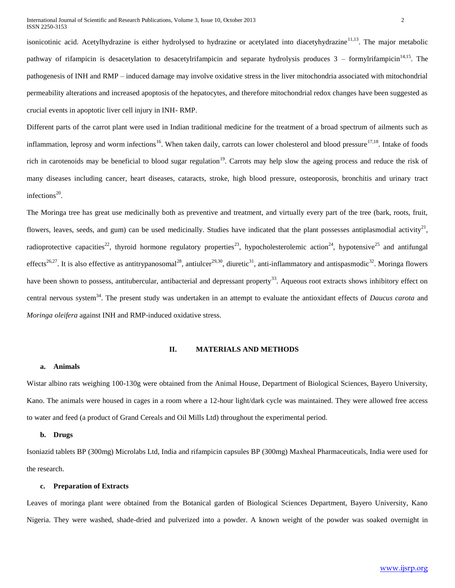isonicotinic acid. Acetylhydrazine is either hydrolysed to hydrazine or acetylated into diacetyhydrazine<sup>11,13</sup>. The major metabolic pathway of rifampicin is desacetylation to desacetylrifampicin and separate hydrolysis produces  $3 - 6$ rmylrifampicin<sup>14,15</sup>. The pathogenesis of INH and RMP – induced damage may involve oxidative stress in the liver mitochondria associated with mitochondrial permeability alterations and increased apoptosis of the hepatocytes, and therefore mitochondrial redox changes have been suggested as crucial events in apoptotic liver cell injury in INH- RMP.

Different parts of the carrot plant were used in Indian traditional medicine for the treatment of a broad spectrum of ailments such as inflammation, leprosy and worm infections<sup>16</sup>. When taken daily, carrots can lower cholesterol and blood pressure<sup>17,18</sup>. Intake of foods rich in carotenoids may be beneficial to blood sugar regulation<sup>19</sup>. Carrots may help slow the ageing process and reduce the risk of many diseases including cancer, heart diseases, cataracts, stroke, high blood pressure, osteoporosis, bronchitis and urinary tract infections $^{20}$ .

The Moringa tree has great use medicinally both as preventive and treatment, and virtually every part of the tree (bark, roots, fruit, flowers, leaves, seeds, and gum) can be used medicinally. Studies have indicated that the plant possesses antiplasmodial activity<sup>21</sup>, radioprotective capacities<sup>22</sup>, thyroid hormone regulatory properties<sup>23</sup>, hypocholesterolemic action<sup>24</sup>, hypotensive<sup>25</sup> and antifungal effects<sup>26,27</sup>. It is also effective as antitrypanosomal<sup>28</sup>, antiulcer<sup>29,30</sup>, diuretic<sup>31</sup>, anti-inflammatory and antispasmodic<sup>32</sup>. Moringa flowers have been shown to possess, antitubercular, antibacterial and depressant property<sup>33</sup>. Aqueous root extracts shows inhibitory effect on central nervous system<sup>34</sup>. The present study was undertaken in an attempt to evaluate the antioxidant effects of *Daucus carota* and *Moringa oleifera* against INH and RMP-induced oxidative stress.

#### **II. MATERIALS AND METHODS**

# **a. Animals**

Wistar albino rats weighing 100-130g were obtained from the Animal House, Department of Biological Sciences, Bayero University, Kano. The animals were housed in cages in a room where a 12-hour light/dark cycle was maintained. They were allowed free access to water and feed (a product of Grand Cereals and Oil Mills Ltd) throughout the experimental period.

#### **b. Drugs**

Isoniazid tablets BP (300mg) Microlabs Ltd, India and rifampicin capsules BP (300mg) Maxheal Pharmaceuticals, India were used for the research.

# **c. Preparation of Extracts**

Leaves of moringa plant were obtained from the Botanical garden of Biological Sciences Department, Bayero University, Kano Nigeria. They were washed, shade-dried and pulverized into a powder. A known weight of the powder was soaked overnight in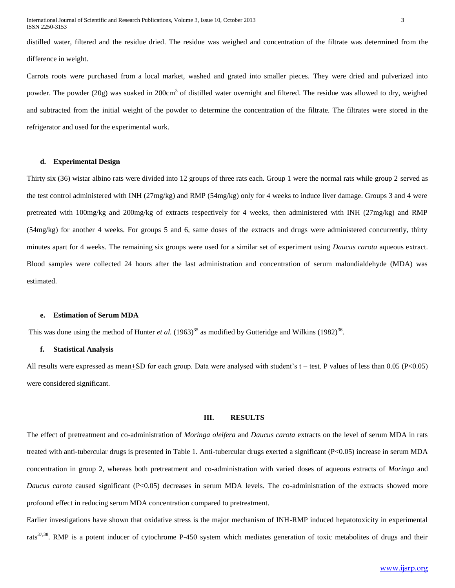distilled water, filtered and the residue dried. The residue was weighed and concentration of the filtrate was determined from the difference in weight.

Carrots roots were purchased from a local market, washed and grated into smaller pieces. They were dried and pulverized into powder. The powder (20g) was soaked in 200cm<sup>3</sup> of distilled water overnight and filtered. The residue was allowed to dry, weighed and subtracted from the initial weight of the powder to determine the concentration of the filtrate. The filtrates were stored in the refrigerator and used for the experimental work.

#### **d. Experimental Design**

Thirty six (36) wistar albino rats were divided into 12 groups of three rats each. Group 1 were the normal rats while group 2 served as the test control administered with INH (27mg/kg) and RMP (54mg/kg) only for 4 weeks to induce liver damage. Groups 3 and 4 were pretreated with 100mg/kg and 200mg/kg of extracts respectively for 4 weeks, then administered with INH (27mg/kg) and RMP (54mg/kg) for another 4 weeks. For groups 5 and 6, same doses of the extracts and drugs were administered concurrently, thirty minutes apart for 4 weeks. The remaining six groups were used for a similar set of experiment using *Daucus carota* aqueous extract. Blood samples were collected 24 hours after the last administration and concentration of serum malondialdehyde (MDA) was estimated.

#### **e. Estimation of Serum MDA**

This was done using the method of Hunter *et al.*  $(1963)^{35}$  as modified by Gutteridge and Wilkins  $(1982)^{36}$ .

# **f. Statistical Analysis**

All results were expressed as mean $\pm$ SD for each group. Data were analysed with student's t – test. P values of less than 0.05 (P<0.05) were considered significant.

#### **III. RESULTS**

The effect of pretreatment and co-administration of *Moringa oleifera* and *Daucus carota* extracts on the level of serum MDA in rats treated with anti-tubercular drugs is presented in Table 1. Anti-tubercular drugs exerted a significant (P<0.05) increase in serum MDA concentration in group 2, whereas both pretreatment and co-administration with varied doses of aqueous extracts of *Moringa* and *Daucus carota* caused significant (P<0.05) decreases in serum MDA levels. The co-administration of the extracts showed more profound effect in reducing serum MDA concentration compared to pretreatment.

Earlier investigations have shown that oxidative stress is the major mechanism of INH-RMP induced hepatotoxicity in experimental rats<sup>37,38</sup>. RMP is a potent inducer of cytochrome P-450 system which mediates generation of toxic metabolites of drugs and their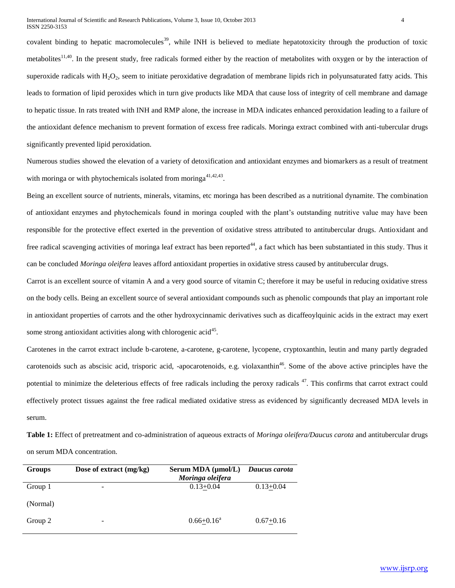covalent binding to hepatic macromolecules<sup>39</sup>, while INH is believed to mediate hepatotoxicity through the production of toxic metabolites<sup>11,40</sup>. In the present study, free radicals formed either by the reaction of metabolites with oxygen or by the interaction of superoxide radicals with  $H_2O_2$ , seem to initiate peroxidative degradation of membrane lipids rich in polyunsaturated fatty acids. This leads to formation of lipid peroxides which in turn give products like MDA that cause loss of integrity of cell membrane and damage to hepatic tissue. In rats treated with INH and RMP alone, the increase in MDA indicates enhanced peroxidation leading to a failure of the antioxidant defence mechanism to prevent formation of excess free radicals. Moringa extract combined with anti-tubercular drugs significantly prevented lipid peroxidation.

Numerous studies showed the elevation of a variety of detoxification and antioxidant enzymes and biomarkers as a result of treatment with moringa or with phytochemicals isolated from moringa<sup>41,42,43</sup>.

Being an excellent source of nutrients, minerals, vitamins, etc moringa has been described as a nutritional dynamite. The combination of antioxidant enzymes and phytochemicals found in moringa coupled with the plant's outstanding nutritive value may have been responsible for the protective effect exerted in the prevention of oxidative stress attributed to antitubercular drugs. Antioxidant and free radical scavenging activities of moringa leaf extract has been reported<sup>44</sup>, a fact which has been substantiated in this study. Thus it can be concluded *Moringa oleifera* leaves afford antioxidant properties in oxidative stress caused by antitubercular drugs.

Carrot is an excellent source of vitamin A and a very good source of vitamin C; therefore it may be useful in reducing oxidative stress on the body cells. Being an excellent source of several antioxidant compounds such as phenolic compounds that play an important role in antioxidant properties of carrots and the other hydroxycinnamic derivatives such as dicaffeoylquinic acids in the extract may exert some strong antioxidant activities along with chlorogenic  $\alpha$ cid<sup>45</sup>.

Carotenes in the carrot extract include b-carotene, a-carotene, g-carotene, lycopene, cryptoxanthin, leutin and many partly degraded carotenoids such as abscisic acid, trisporic acid, -apocarotenoids, e.g. violaxanthin<sup>46</sup>. Some of the above active principles have the potential to minimize the deleterious effects of free radicals including the peroxy radicals  $47$ . This confirms that carrot extract could effectively protect tissues against the free radical mediated oxidative stress as evidenced by significantly decreased MDA levels in serum.

**Table 1:** Effect of pretreatment and co-administration of aqueous extracts of *Moringa oleifera/Daucus carota* and antitubercular drugs on serum MDA concentration.

| <b>Groups</b> | Dose of extract (mg/kg) | Serum MDA $(\mu$ mol/L)<br>Moringa oleifera | Daucus carota   |
|---------------|-------------------------|---------------------------------------------|-----------------|
| Group 1       | -                       | $0.13 + 0.04$                               | $0.13 \pm 0.04$ |
| (Normal)      |                         |                                             |                 |
| Group 2       | -                       | $0.66 + 0.16^{\circ}$                       | $0.67 + 0.16$   |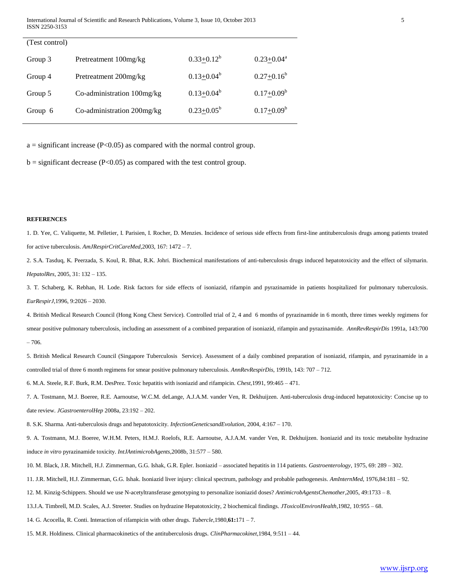| (Test control) |                            |                   |                            |
|----------------|----------------------------|-------------------|----------------------------|
| Group 3        | Pretreatment 100mg/kg      | $0.33 \pm 0.12^b$ | $0.23 \pm 0.04^{\text{a}}$ |
| Group 4        | Pretreatment 200mg/kg      | $0.13 + 0.04^b$   | $0.27+0.16^b$              |
| Group 5        | Co-administration 100mg/kg | $0.13 + 0.04^b$   | $0.17 \pm 0.09^b$          |
| Group 6        | Co-administration 200mg/kg | $0.23 + 0.05^b$   | $0.17+0.09^b$              |
|                |                            |                   |                            |

 $a =$  significant increase (P<0.05) as compared with the normal control group.

 $b =$  significant decrease (P<0.05) as compared with the test control group.

#### **REFERENCES**

1. D. Yee, C. Valiquette, M. Pelletier, I. Parisien, I. Rocher, D. Menzies. Incidence of serious side effects from first-line antituberculosis drugs among patients treated for active tuberculosis. *AmJRespirCritCareMed*,2003, 167: 1472 – 7.

2. S.A. Tasduq, K. Peerzada, S. Koul, R. Bhat, R.K. Johri. Biochemical manifestations of anti-tuberculosis drugs induced hepatotoxicity and the effect of silymarin. *HepatolRes*, 2005, 31: 132 – 135.

3. T. Schaberg, K. Rebhan, H. Lode. Risk factors for side effects of isoniazid, rifampin and pyrazinamide in patients hospitalized for pulmonary tuberculosis. *EurRespirJ*,1996, 9:2026 – 2030.

4. British Medical Research Council (Hong Kong Chest Service). Controlled trial of 2, 4 and 6 months of pyrazinamide in 6 month, three times weekly regimens for smear positive pulmonary tuberculosis, including an assessment of a combined preparation of isoniazid, rifampin and pyrazinamide. *AnnRevRespirDis* 1991a, 143:700 – 706.

5. British Medical Research Council (Singapore Tuberculosis Service). Assessment of a daily combined preparation of isoniazid, rifampin, and pyrazinamide in a controlled trial of three 6 month regimens for smear positive pulmonary tuberculosis. *AnnRevRespirDis*, 1991b, 143: 707 – 712.

6. M.A. Steele, R.F. Burk, R.M. DesPrez. Toxic hepatitis with isoniazid and rifampicin. *Chest*,1991, 99:465 – 471.

7. A. Tostmann, M.J. Boeree, R.E. Aarnoutse, W.C.M. deLange, A.J.A.M. vander Ven, R. Dekhuijzen. Anti-tuberculosis drug-induced hepatotoxicity: Concise up to date review. *JGastroenterolHep* 2008a, 23:192 – 202.

8. S.K. Sharma. Anti-tuberculosis drugs and hepatotoxicity. *InfectionGeneticsandEvolution*, 2004, 4:167 – 170.

9. A. Tostmann, M.J. Boeree, W.H.M. Peters, H.M.J. Roelofs, R.E. Aarnoutse, A.J.A.M. vander Ven, R. Dekhuijzen. Isoniazid and its toxic metabolite hydrazine induce *in vitro* pyrazinamide toxicity. *IntJAntimicrobAgents*,2008b, 31:577 – 580.

10. M. Black, J.R. Mitchell, H.J. Zimmerman, G.G. Ishak, G.R. Epler. Isoniazid – associated hepatitis in 114 patients. *Gastroenterology*, 1975, 69: 289 – 302.

11. J.R. Mitchell, H.J. Zimmerman, G.G. Ishak. Isoniazid liver injury: clinical spectrum, pathology and probable pathogenesis. *AmInternMed*, 1976,84:181 – 92.

- 12. M. Kinzig-Schippers. Should we use N-acetyltransferase genotyping to personalize isoniazid doses? *AntimicrobAgentsChemother*,2005, 49:1733 8.
- 13.J.A. Timbrell, M.D. Scales, A.J. Streeter. Studies on hydrazine Hepatotoxicity, 2 biochemical findings. *JToxicolEnvironHealth*,1982, 10:955 68.

14. G. Acocella, R. Conti. Interaction of rifampicin with other drugs. *Tubercle*,1980,**61:**171 – 7.

15. M.R. Holdiness. Clinical pharmacokinetics of the antituberculosis drugs. *ClinPharmacokinet*,1984, 9:511 – 44.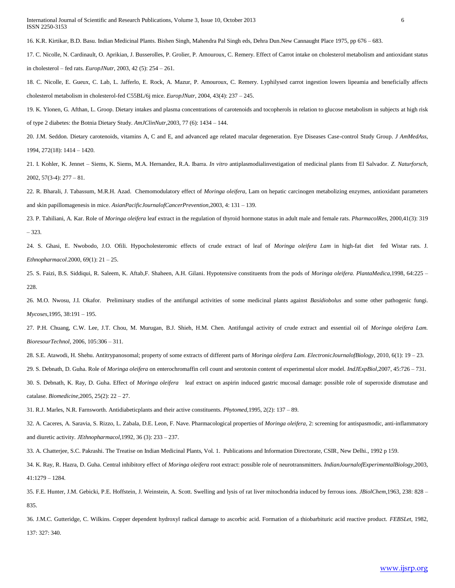International Journal of Scientific and Research Publications, Volume 3, Issue 10, October 2013 6 ISSN 2250-3153

16. K.R. Kirtikar, B.D. Basu. Indian Medicinal Plants. Bishen Singh, Mahendra Pal Singh eds, Dehra Dun.New Cannaught Place 1975, pp 676 – 683.

17. C. Nicolle, N. Cardinault, O. Aprikian, J. Busserolles, P. Grolier, P. Amouroux, C. Remery. Effect of Carrot intake on cholesterol metabolism and antioxidant status in cholesterol – fed rats. *EuropJNutr*, 2003, 42 (5): 254 – 261.

18. C. Nicolle, E. Gueux, C. Lab, L. Jafferlo, E. Rock, A. Mazur, P. Amouroux, C. Remery. Lyphilysed carrot ingestion lowers lipeamia and beneficially affects cholesterol metabolism in cholesterol-fed C55BL/6j mice. *EuropJNutr*, 2004, 43(4): 237 – 245.

19. K. Ylonen, G. Afthan, L. Groop. Dietary intakes and plasma concentrations of carotenoids and tocopherols in relation to glucose metabolism in subjects at high risk of type 2 diabetes: the Botnia Dietary Study. *AmJClinNutr*,2003, 77 (6): 1434 – 144.

20. J.M. Seddon. Dietary carotenoids, vitamins A, C and E, and advanced age related macular degeneration. Eye Diseases Case-control Study Group. *J AmMedAss*, 1994, 272(18): 1414 – 1420.

21. I. Kohler, K. Jennet – Siems, K. Siems, M.A. Hernandez, R.A. Ibarra. *In vitro* antiplasmodialinvestigation of medicinal plants from El Salvador. *Z*. *Naturforsch*, 2002, 57(3-4): 277 – 81.

22. R. Bharali, J. Tabassum, M.R.H. Azad. Chemomodulatory effect of *Moringa oleifera,* Lam on hepatic carcinogen metabolizing enzymes, antioxidant parameters and skin papillomagenesis in mice. *AsianPacificJournalofCancerPrevention*,2003, 4: 131 – 139.

23. P. Tahiliani, A. Kar. Role of *Moringa oleifera* leaf extract in the regulation of thyroid hormone status in adult male and female rats. *PharmacolRes*, 2000,41(3): 319 – 323.

24. S. Ghasi, E. Nwobodo, J.O. Ofili. Hypocholesteromic effects of crude extract of leaf of *Moringa oleifera Lam* in high-fat diet fed Wistar rats. J. *Ethnopharmacol*.2000, 69(1): 21 – 25.

25. S. Faizi, B.S. Siddiqui, R. Saleem, K. Aftab,F. Shaheen, A.H. Gilani. Hypotensive constituents from the pods of *Moringa oleifera. PlantaMedica*,1998, 64:225 – 228.

26. M.O. Nwosu, J.I. Okafor. Preliminary studies of the antifungal activities of some medicinal plants against *Basidiobolus* and some other pathogenic fungi. *Mycoses*,1995, 38:191 – 195.

27. P.H. Chuang, C.W. Lee, J.T. Chou, M. Murugan, B.J. Shieh, H.M. Chen. Antifungal activity of crude extract and essential oil of *Moringa oleifera Lam. BioresourTechnol*, 2006, 105:306 – 311.

28. S.E. Atawodi, H. Shehu. Antitrypanosomal; property of some extracts of different parts of *Moringa oleifera Lam. ElectronicJournalofBiology*, 2010, 6(1): 19 – 23.

29. S. Debnath, D. Guha. Role of *Moringa oleifera* on enterochromaffin cell count and serotonin content of experimental ulcer model. *IndJExpBiol*,2007, 45:726 – 731.

30. S. Debnath, K. Ray, D. Guha. Effect of *Moringa oleifera* leaf extract on aspirin induced gastric mucosal damage: possible role of superoxide dismutase and catalase. *Biomedicine*,2005, 25(2): 22 – 27.

31. R.J. Marles, N.R. Farnsworth. Antidiabeticplants and their active constituents. *Phytomed*,1995, 2(2): 137 – 89.

32. A. Caceres, A. Saravia, S. Rizzo, L. Zabala, D.E. Leon, F. Nave. Pharmacological properties of *Moringa oleifera,* 2: screening for antispasmodic, anti-inflammatory and diuretic activity. *JEthnopharmacol*,1992, 36 (3): 233 – 237.

33. A. Chatterjee, S.C. Pakrashi. The Treatise on Indian Medicinal Plants, Vol. 1. Publications and Information Directorate, CSIR, New Delhi., 1992 p 159.

34. K. Ray, R. Hazra, D. Guha. Central inhibitory effect of *Moringa oleifera* root extract: possible role of neurotransmitters. *IndianJournalofExperimentalBiology*,2003, 41:1279 – 1284.

35. F.E. Hunter, J.M. Gebicki, P.E. Hoffstein, J. Weinstein, A. Scott. Swelling and lysis of rat liver mitochondria induced by ferrous ions. *JBiolChem*,1963, 238: 828 – 835.

36. J.M.C. Gutteridge, C. Wilkins. Copper dependent hydroxyl radical damage to ascorbic acid. Formation of a thiobarbituric acid reactive product. *FEBSLet*, 1982, 137: 327: 340.